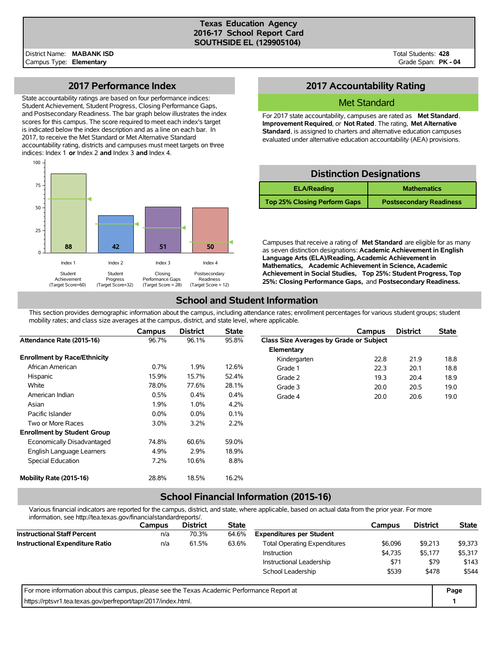#### **Texas Education Agency 2016-17 School Report Card SOUTHSIDE EL (129905104)**

Total Students: **428** Grade Span: **PK - 04**

### **2017 Performance Index**

State accountability ratings are based on four performance indices: Student Achievement, Student Progress, Closing Performance Gaps, and Postsecondary Readiness. The bar graph below illustrates the index scores for this campus. The score required to meet each index's target is indicated below the index description and as a line on each bar. In 2017, to receive the Met Standard or Met Alternative Standard accountability rating, districts and campuses must meet targets on three indices: Index 1 **or** Index 2 **and** Index 3 **and** Index 4.



## **2017 Accountability Rating**

### Met Standard

For 2017 state accountability, campuses are rated as **Met Standard**, **Improvement Required**, or **Not Rated**. The rating, **Met Alternative Standard**, is assigned to charters and alternative education campuses evaluated under alternative education accountability (AEA) provisions.

### **Distinction Designations**

| <b>ELA/Reading</b>                  | <b>Mathematics</b>             |  |  |  |  |
|-------------------------------------|--------------------------------|--|--|--|--|
| <b>Top 25% Closing Perform Gaps</b> | <b>Postsecondary Readiness</b> |  |  |  |  |

Campuses that receive a rating of **Met Standard** are eligible for as many as seven distinction designations: **Academic Achievement in English Language Arts (ELA)/Reading, Academic Achievement in Mathematics, Academic Achievement in Science, Academic Achievement in Social Studies, Top 25%: Student Progress, Top 25%: Closing Performance Gaps,** and **Postsecondary Readiness.**

### **School and Student Information**

This section provides demographic information about the campus, including attendance rates; enrollment percentages for various student groups; student mobility rates; and class size averages at the campus, district, and state level, where applicable.

|                                     | Campus  | <b>District</b> | <b>State</b> |                                         | Campus | <b>District</b> | <b>State</b> |
|-------------------------------------|---------|-----------------|--------------|-----------------------------------------|--------|-----------------|--------------|
| Attendance Rate (2015-16)           | 96.7%   | 96.1%           | 95.8%        | Class Size Averages by Grade or Subject |        |                 |              |
|                                     |         |                 |              | Elementary                              |        |                 |              |
| <b>Enrollment by Race/Ethnicity</b> |         |                 |              | Kindergarten                            | 22.8   | 21.9            | 18.8         |
| African American                    | 0.7%    | 1.9%            | 12.6%        | Grade 1                                 | 22.3   | 20.1            | 18.8         |
| Hispanic                            | 15.9%   | 15.7%           | 52.4%        | Grade 2                                 | 19.3   | 20.4            | 18.9         |
| White                               | 78.0%   | 77.6%           | 28.1%        | Grade 3                                 | 20.0   | 20.5            | 19.0         |
| American Indian                     | 0.5%    | 0.4%            | 0.4%         | Grade 4                                 | 20.0   | 20.6            | 19.0         |
| Asian                               | 1.9%    | 1.0%            | 4.2%         |                                         |        |                 |              |
| Pacific Islander                    | $0.0\%$ | $0.0\%$         | 0.1%         |                                         |        |                 |              |
| Two or More Races                   | $3.0\%$ | 3.2%            | 2.2%         |                                         |        |                 |              |
| <b>Enrollment by Student Group</b>  |         |                 |              |                                         |        |                 |              |
| Economically Disadvantaged          | 74.8%   | 60.6%           | 59.0%        |                                         |        |                 |              |
| English Language Learners           | 4.9%    | 2.9%            | 18.9%        |                                         |        |                 |              |
| Special Education                   | 7.2%    | 10.6%           | 8.8%         |                                         |        |                 |              |
| Mobility Rate (2015-16)             | 28.8%   | 18.5%           | 16.2%        |                                         |        |                 |              |

# **School Financial Information (2015-16)**

Various financial indicators are reported for the campus, district, and state, where applicable, based on actual data from the prior year. For more information, see http://tea.texas.gov/financialstandardreports/.

| <u> III IUI I I I ali UI I, SEE TILID.//LEA.LEXAS.YOV/III IAI IUI AISIAI IUAI UI EDULS/.</u> |        |                 |              |                                     |         |                 |              |
|----------------------------------------------------------------------------------------------|--------|-----------------|--------------|-------------------------------------|---------|-----------------|--------------|
|                                                                                              | Campus | <b>District</b> | <b>State</b> |                                     | Campus  | <b>District</b> | <b>State</b> |
| <b>Instructional Staff Percent</b>                                                           | n/a    | 70.3%           | 64.6%        | <b>Expenditures per Student</b>     |         |                 |              |
| <b>Instructional Expenditure Ratio</b>                                                       | n/a    | 61.5%           | 63.6%        | <b>Total Operating Expenditures</b> | \$6,096 | \$9,213         | \$9,373      |
|                                                                                              |        |                 |              | Instruction                         | \$4,735 | \$5,177         | \$5,317      |
|                                                                                              |        |                 |              | Instructional Leadership            | \$71    | \$79            | \$143        |
|                                                                                              |        |                 |              | School Leadership                   | \$539   | \$478           | \$544        |
| For more information about this campus, please see the Texas Academic Performance Report at  |        |                 |              |                                     |         |                 | Page         |
| https://rptsvr1.tea.texas.gov/perfreport/tapr/2017/index.html.                               |        |                 |              |                                     |         |                 |              |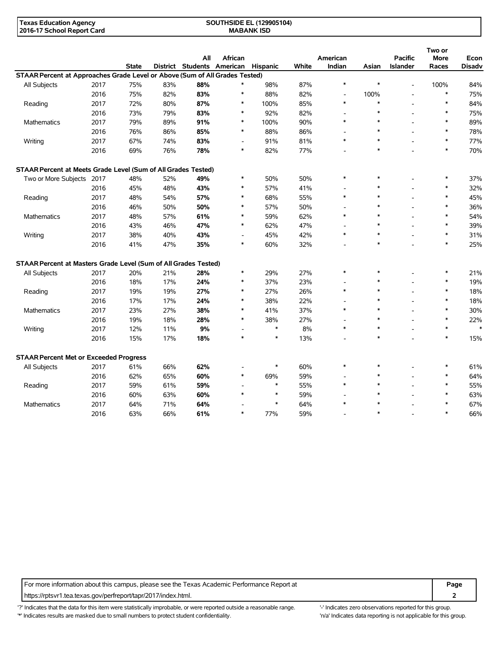| <b>Texas Education Agency</b> | <b>SOUTHSIDE EL (129905104)</b> |  |
|-------------------------------|---------------------------------|--|
| 2016-17 School Report Card    | <b>MABANK ISD</b>               |  |

|                                                                             |      |              |     | All | African                    |          |              | American       |        | <b>Pacific</b>           | Two or<br><b>More</b> | Econ          |
|-----------------------------------------------------------------------------|------|--------------|-----|-----|----------------------------|----------|--------------|----------------|--------|--------------------------|-----------------------|---------------|
|                                                                             |      | <b>State</b> |     |     | District Students American | Hispanic | <b>White</b> | Indian         | Asian  | <b>Islander</b>          | Races                 | <b>Disadv</b> |
| STAAR Percent at Approaches Grade Level or Above (Sum of All Grades Tested) |      |              |     |     |                            |          |              |                |        |                          |                       |               |
| All Subjects                                                                | 2017 | 75%          | 83% | 88% | $\ast$                     | 98%      | 87%          | $\ast$         | $\ast$ | $\overline{\phantom{a}}$ | 100%                  | 84%           |
|                                                                             | 2016 | 75%          | 82% | 83% | $\ast$                     | 88%      | 82%          | $\blacksquare$ | 100%   |                          | $\ast$                | 75%           |
| Reading                                                                     | 2017 | 72%          | 80% | 87% | *                          | 100%     | 85%          | $\ast$         | $\ast$ |                          | $\ast$                | 84%           |
|                                                                             | 2016 | 73%          | 79% | 83% | *                          | 92%      | 82%          |                | $\ast$ |                          | $\ast$                | 75%           |
| Mathematics                                                                 | 2017 | 79%          | 89% | 91% | $\ast$                     | 100%     | 90%          | $\ast$         | $\ast$ |                          | $\ast$                | 89%           |
|                                                                             | 2016 | 76%          | 86% | 85% | *                          | 88%      | 86%          |                | $\ast$ |                          | $\ast$                | 78%           |
| Writing                                                                     | 2017 | 67%          | 74% | 83% | $\overline{a}$             | 91%      | 81%          | $\ast$         | $\ast$ |                          | $\ast$                | 77%           |
|                                                                             | 2016 | 69%          | 76% | 78% | $\ast$                     | 82%      | 77%          |                | $\ast$ |                          | $\ast$                | 70%           |
| STAAR Percent at Meets Grade Level (Sum of All Grades Tested)               |      |              |     |     |                            |          |              |                |        |                          |                       |               |
| Two or More Subjects 2017                                                   |      | 48%          | 52% | 49% | *                          | 50%      | 50%          | $\ast$         | *      |                          | $\ast$                | 37%           |
|                                                                             | 2016 | 45%          | 48% | 43% | $\ast$                     | 57%      | 41%          |                | $\ast$ |                          | $\ast$                | 32%           |
| Reading                                                                     | 2017 | 48%          | 54% | 57% | *                          | 68%      | 55%          | $\ast$         | ∗      |                          | $\ast$                | 45%           |
|                                                                             | 2016 | 46%          | 50% | 50% | *                          | 57%      | 50%          |                | $\ast$ |                          | $\ast$                | 36%           |
| Mathematics                                                                 | 2017 | 48%          | 57% | 61% | $\ast$                     | 59%      | 62%          | $\ast$         | $\ast$ |                          | $\ast$                | 54%           |
|                                                                             | 2016 | 43%          | 46% | 47% | $\ast$                     | 62%      | 47%          |                | $\ast$ |                          | $\ast$                | 39%           |
| Writing                                                                     | 2017 | 38%          | 40% | 43% | $\overline{\phantom{a}}$   | 45%      | 42%          | $\ast$         | $\ast$ |                          | $\ast$                | 31%           |
|                                                                             | 2016 | 41%          | 47% | 35% | $\ast$                     | 60%      | 32%          |                | $\ast$ |                          | $\ast$                | 25%           |
| STAAR Percent at Masters Grade Level (Sum of All Grades Tested)             |      |              |     |     |                            |          |              |                |        |                          |                       |               |
| All Subjects                                                                | 2017 | 20%          | 21% | 28% | *                          | 29%      | 27%          | $\ast$         | *      |                          | $\ast$                | 21%           |
|                                                                             | 2016 | 18%          | 17% | 24% | $\ast$                     | 37%      | 23%          |                | $\ast$ |                          | $\ast$                | 19%           |
| Reading                                                                     | 2017 | 19%          | 19% | 27% | *                          | 27%      | 26%          | $\ast$         | $\ast$ |                          | $\ast$                | 18%           |
|                                                                             | 2016 | 17%          | 17% | 24% | *                          | 38%      | 22%          |                | $\ast$ |                          | $\ast$                | 18%           |
| <b>Mathematics</b>                                                          | 2017 | 23%          | 27% | 38% | $\ast$                     | 41%      | 37%          | $\ast$         | $\ast$ |                          | $\ast$                | 30%           |
|                                                                             | 2016 | 19%          | 18% | 28% | $\ast$                     | 38%      | 27%          |                | $\ast$ |                          | $\ast$                | 22%           |
| Writing                                                                     | 2017 | 12%          | 11% | 9%  |                            | $\ast$   | 8%           | $\ast$         | $\ast$ |                          | $\ast$                | $\ast$        |
|                                                                             | 2016 | 15%          | 17% | 18% | $\ast$                     | $\ast$   | 13%          |                | $\ast$ |                          | $\ast$                | 15%           |
| <b>STAAR Percent Met or Exceeded Progress</b>                               |      |              |     |     |                            |          |              |                |        |                          |                       |               |
| All Subjects                                                                | 2017 | 61%          | 66% | 62% |                            | $\ast$   | 60%          | $\ast$         | $\ast$ |                          | $\ast$                | 61%           |
|                                                                             | 2016 | 62%          | 65% | 60% | *                          | 69%      | 59%          |                | *      |                          | $\ast$                | 64%           |
| Reading                                                                     | 2017 | 59%          | 61% | 59% |                            | $\ast$   | 55%          | $\ast$         | $\ast$ |                          | $\ast$                | 55%           |
|                                                                             | 2016 | 60%          | 63% | 60% |                            | $\ast$   | 59%          |                |        |                          | $\ast$                | 63%           |
| Mathematics                                                                 | 2017 | 64%          | 71% | 64% |                            | $\ast$   | 64%          | $\ast$         |        |                          |                       | 67%           |
|                                                                             | 2016 | 63%          | 66% | 61% | $\ast$                     | 77%      | 59%          |                | $\ast$ |                          | $\ast$                | 66%           |

For more information about this campus, please see the Texas Academic Performance Report at **Page** Page https://rptsvr1.tea.texas.gov/perfreport/tapr/2017/index.html. **2**

'?' Indicates that the data for this item were statistically improbable, or were reported outside a reasonable range. "Indicates zero observations reported for this group. '\*' Indicates results are masked due to small numbers to protect student confidentiality. Moreover, the context of the strong is not applicable for this group.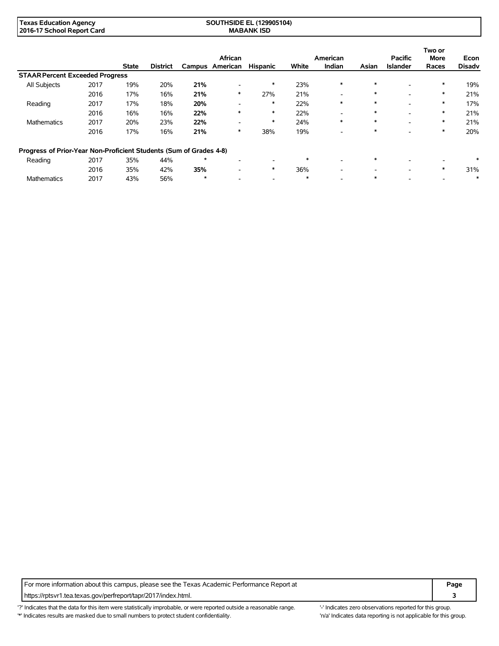| <b>Texas Education Agency</b> | (129905104)<br><b>'JTHSIDE EL</b> |  |
|-------------------------------|-----------------------------------|--|
| 2016-17 School Report Card    | <b>MABANK ISD</b>                 |  |

|                                                                    |      |              |                 |         | African         |                          |        | American                 |        | <b>Pacific</b>           | Two or<br><b>More</b> | Econ          |
|--------------------------------------------------------------------|------|--------------|-----------------|---------|-----------------|--------------------------|--------|--------------------------|--------|--------------------------|-----------------------|---------------|
|                                                                    |      | <b>State</b> | <b>District</b> |         | Campus American | <b>Hispanic</b>          | White  | Indian                   | Asian  | <b>Islander</b>          | Races                 | <b>Disadv</b> |
| <b>STAAR Percent Exceeded Progress</b>                             |      |              |                 |         |                 |                          |        |                          |        |                          |                       |               |
| All Subjects                                                       | 2017 | 19%          | 20%             | 21%     |                 | $\ast$                   | 23%    | $\ast$                   | $\ast$ |                          | $\ast$                | 19%           |
|                                                                    | 2016 | 17%          | 16%             | 21%     | ∗               | 27%                      | 21%    | -                        | $\ast$ | $\overline{\phantom{a}}$ | $\ast$                | 21%           |
| Reading                                                            | 2017 | 17%          | 18%             | 20%     |                 | *                        | 22%    | $\ast$                   | $\ast$ | -                        | $\ast$                | 17%           |
|                                                                    | 2016 | 16%          | 16%             | 22%     | $\ast$          | $\ast$                   | 22%    | $\overline{\phantom{0}}$ | $\ast$ | ۰                        | $\ast$                | 21%           |
| <b>Mathematics</b>                                                 | 2017 | 20%          | 23%             | 22%     |                 | $\ast$                   | 24%    | $\ast$                   | $\ast$ | $\overline{\phantom{a}}$ | $\ast$                | 21%           |
|                                                                    | 2016 | 17%          | 16%             | 21%     | ∗               | 38%                      | 19%    | $\overline{\phantom{0}}$ | *      | -                        | $\ast$                | 20%           |
| Progress of Prior-Year Non-Proficient Students (Sum of Grades 4-8) |      |              |                 |         |                 |                          |        |                          |        |                          |                       |               |
| Reading                                                            | 2017 | 35%          | 44%             | $\star$ | -               | $\overline{\phantom{0}}$ | $\ast$ | $\overline{\phantom{a}}$ | $\ast$ | -                        |                       | $\ast$        |
|                                                                    | 2016 | 35%          | 42%             | 35%     |                 | $\ast$                   | 36%    | -                        |        | $\overline{\phantom{a}}$ | $\ast$                | 31%           |
| <b>Mathematics</b>                                                 | 2017 | 43%          | 56%             | $\star$ |                 | $\overline{\phantom{a}}$ | $\ast$ |                          | $\ast$ |                          |                       | ∗             |

For more information about this campus, please see the Texas Academic Performance Report at **Page Page** https://rptsvr1.tea.texas.gov/perfreport/tapr/2017/index.html. **3**

'?' Indicates that the data for this item were statistically improbable, or were reported outside a reasonable range. "Indicates zero observations reported for this group. '\*' Indicates results are masked due to small numbers to protect student confidentiality. 'n/a' Indicates data reporting is not applicable for this group.